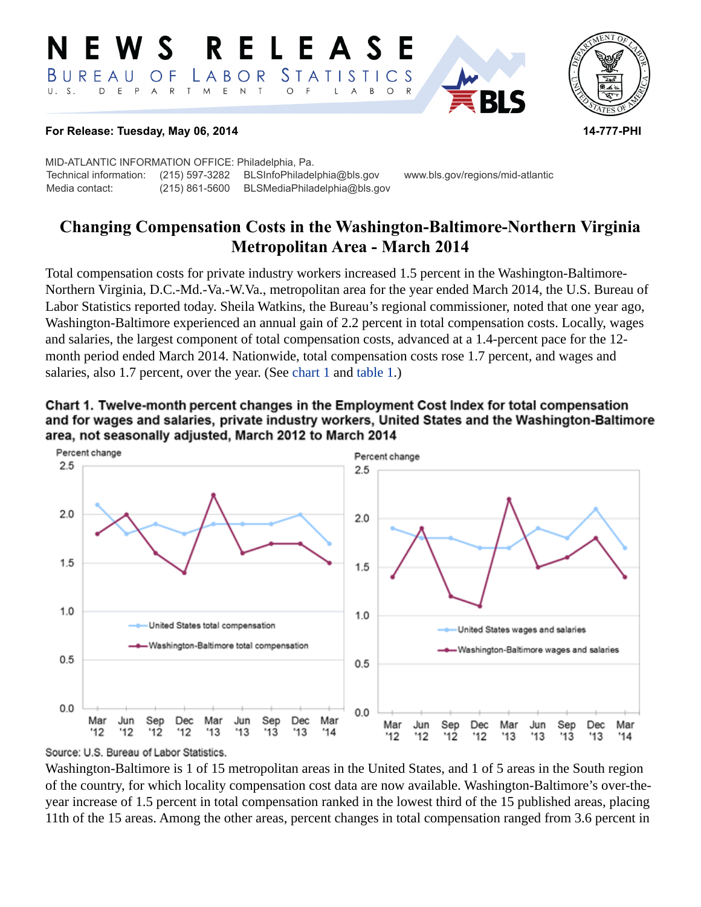#### **RELEAS** W S *STATISTICS* BUREAU  $\overline{O}$  F LABOR  $T$  $E$  N  $\top$ E P  $\overline{A}$  ${\sf R}$  $M_{\odot}$  $\circ$  $\overline{F}$  $\overline{A}$  $B$  $\circ$  $\mathsf{L}$



#### **For Release: Tuesday, May 06, 2014 14-777-PHI**

MID-ATLANTIC INFORMATION OFFICE: Philadelphia, Pa. Technical information: (215) 597-3282 BLSInfoPhiladelphia@bls.gov www.bls.gov/regions/mid-atlantic Media contact: (215) 861-5600 BLSMediaPhiladelphia@bls.gov

# **Changing Compensation Costs in the Washington-Baltimore-Northern Virginia Metropolitan Area - March 2014**

Total compensation costs for private industry workers increased 1.5 percent in the Washington-Baltimore-Northern Virginia, D.C.-Md.-Va.-W.Va., metropolitan area for the year ended March 2014, the U.S. Bureau of Labor Statistics reported today. Sheila Watkins, the Bureau's regional commissioner, noted that one year ago, Washington-Baltimore experienced an annual gain of 2.2 percent in total compensation costs. Locally, wages and salaries, the largest component of total compensation costs, advanced at a 1.4-percent pace for the 12 month period ended March 2014. Nationwide, total compensation costs rose 1.7 percent, and wages and salaries, also 1.7 percent, over the year. (See [chart 1](#page-0-0) and [table 1.](#page-4-0))

<span id="page-0-0"></span>



#### Source: U.S. Bureau of Labor Statistics.

Washington-Baltimore is 1 of 15 metropolitan areas in the United States, and 1 of 5 areas in the South region of the country, for which locality compensation cost data are now available. Washington-Baltimore's over-theyear increase of 1.5 percent in total compensation ranked in the lowest third of the 15 published areas, placing 11th of the 15 areas. Among the other areas, percent changes in total compensation ranged from 3.6 percent in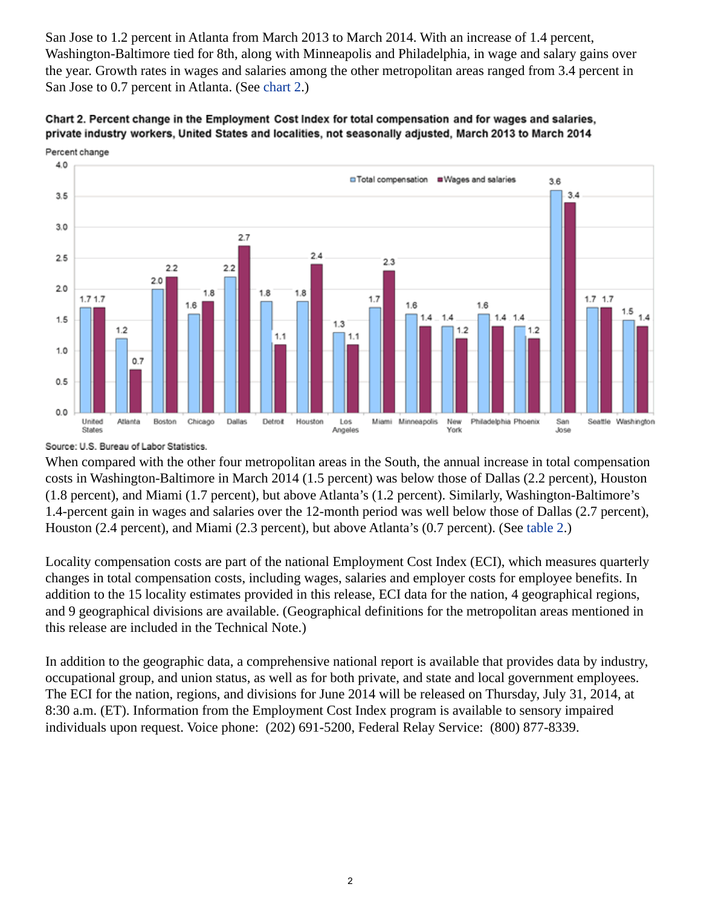San Jose to 1.2 percent in Atlanta from March 2013 to March 2014. With an increase of 1.4 percent, Washington-Baltimore tied for 8th, along with Minneapolis and Philadelphia, in wage and salary gains over the year. Growth rates in wages and salaries among the other metropolitan areas ranged from 3.4 percent in San Jose to 0.7 percent in Atlanta. (See [chart 2](#page-1-0).)

<span id="page-1-0"></span>



Source: U.S. Bureau of Labor Statistics.

When compared with the other four metropolitan areas in the South, the annual increase in total compensation costs in Washington-Baltimore in March 2014 (1.5 percent) was below those of Dallas (2.2 percent), Houston (1.8 percent), and Miami (1.7 percent), but above Atlanta's (1.2 percent). Similarly, Washington-Baltimore's 1.4-percent gain in wages and salaries over the 12-month period was well below those of Dallas (2.7 percent), Houston (2.4 percent), and Miami (2.3 percent), but above Atlanta's (0.7 percent). (See [table 2.](#page-5-0))

Locality compensation costs are part of the national Employment Cost Index (ECI), which measures quarterly changes in total compensation costs, including wages, salaries and employer costs for employee benefits. In addition to the 15 locality estimates provided in this release, ECI data for the nation, 4 geographical regions, and 9 geographical divisions are available. (Geographical definitions for the metropolitan areas mentioned in this release are included in the Technical Note.)

In addition to the geographic data, a comprehensive national report is available that provides data by industry, occupational group, and union status, as well as for both private, and state and local government employees. The ECI for the nation, regions, and divisions for June 2014 will be released on Thursday, July 31, 2014, at 8:30 a.m. (ET). Information from the Employment Cost Index program is available to sensory impaired individuals upon request. Voice phone: (202) 691-5200, Federal Relay Service: (800) 877-8339.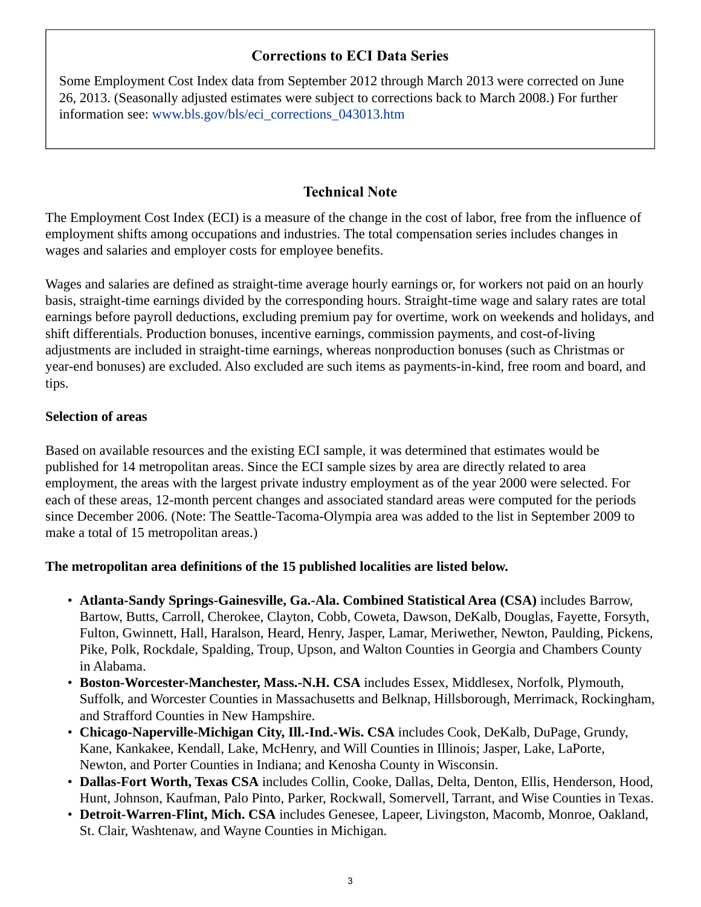## **Corrections to ECI Data Series**

Some Employment Cost Index data from September 2012 through March 2013 were corrected on June 26, 2013. (Seasonally adjusted estimates were subject to corrections back to March 2008.) For further information see: [www.bls.gov/bls/eci\\_corrections\\_043013.htm](http://www.bls.gov/bls/eci_corrections_043013.htm)

## **Technical Note**

The Employment Cost Index (ECI) is a measure of the change in the cost of labor, free from the influence of employment shifts among occupations and industries. The total compensation series includes changes in wages and salaries and employer costs for employee benefits.

Wages and salaries are defined as straight-time average hourly earnings or, for workers not paid on an hourly basis, straight-time earnings divided by the corresponding hours. Straight-time wage and salary rates are total earnings before payroll deductions, excluding premium pay for overtime, work on weekends and holidays, and shift differentials. Production bonuses, incentive earnings, commission payments, and cost-of-living adjustments are included in straight-time earnings, whereas nonproduction bonuses (such as Christmas or year-end bonuses) are excluded. Also excluded are such items as payments-in-kind, free room and board, and tips.

## **Selection of areas**

Based on available resources and the existing ECI sample, it was determined that estimates would be published for 14 metropolitan areas. Since the ECI sample sizes by area are directly related to area employment, the areas with the largest private industry employment as of the year 2000 were selected. For each of these areas, 12-month percent changes and associated standard areas were computed for the periods since December 2006. (Note: The Seattle-Tacoma-Olympia area was added to the list in September 2009 to make a total of 15 metropolitan areas.)

### **The metropolitan area definitions of the 15 published localities are listed below.**

- **Atlanta-Sandy Springs-Gainesville, Ga.-Ala. Combined Statistical Area (CSA)** includes Barrow, Bartow, Butts, Carroll, Cherokee, Clayton, Cobb, Coweta, Dawson, DeKalb, Douglas, Fayette, Forsyth, Fulton, Gwinnett, Hall, Haralson, Heard, Henry, Jasper, Lamar, Meriwether, Newton, Paulding, Pickens, Pike, Polk, Rockdale, Spalding, Troup, Upson, and Walton Counties in Georgia and Chambers County in Alabama.
- **Boston-Worcester-Manchester, Mass.-N.H. CSA** includes Essex, Middlesex, Norfolk, Plymouth, Suffolk, and Worcester Counties in Massachusetts and Belknap, Hillsborough, Merrimack, Rockingham, and Strafford Counties in New Hampshire.
- **Chicago-Naperville-Michigan City, Ill.-Ind.-Wis. CSA** includes Cook, DeKalb, DuPage, Grundy, Kane, Kankakee, Kendall, Lake, McHenry, and Will Counties in Illinois; Jasper, Lake, LaPorte, Newton, and Porter Counties in Indiana; and Kenosha County in Wisconsin.
- **Dallas-Fort Worth, Texas CSA** includes Collin, Cooke, Dallas, Delta, Denton, Ellis, Henderson, Hood, Hunt, Johnson, Kaufman, Palo Pinto, Parker, Rockwall, Somervell, Tarrant, and Wise Counties in Texas.
- **Detroit-Warren-Flint, Mich. CSA** includes Genesee, Lapeer, Livingston, Macomb, Monroe, Oakland, St. Clair, Washtenaw, and Wayne Counties in Michigan.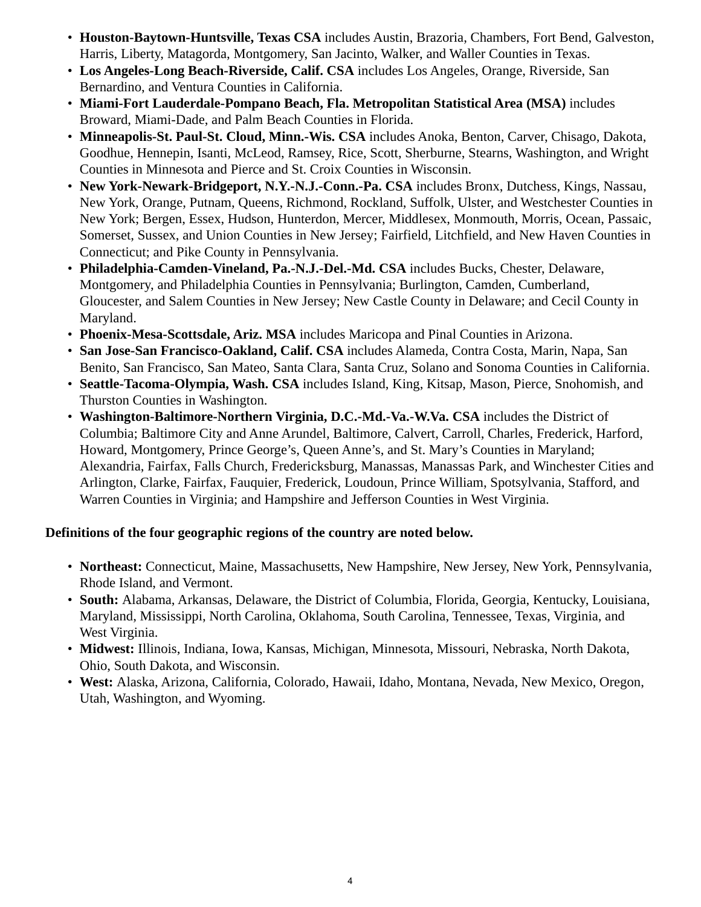- **Houston-Baytown-Huntsville, Texas CSA** includes Austin, Brazoria, Chambers, Fort Bend, Galveston, Harris, Liberty, Matagorda, Montgomery, San Jacinto, Walker, and Waller Counties in Texas.
- **Los Angeles-Long Beach-Riverside, Calif. CSA** includes Los Angeles, Orange, Riverside, San Bernardino, and Ventura Counties in California.
- **Miami-Fort Lauderdale-Pompano Beach, Fla. Metropolitan Statistical Area (MSA)** includes Broward, Miami-Dade, and Palm Beach Counties in Florida.
- **Minneapolis-St. Paul-St. Cloud, Minn.-Wis. CSA** includes Anoka, Benton, Carver, Chisago, Dakota, Goodhue, Hennepin, Isanti, McLeod, Ramsey, Rice, Scott, Sherburne, Stearns, Washington, and Wright Counties in Minnesota and Pierce and St. Croix Counties in Wisconsin.
- **New York-Newark-Bridgeport, N.Y.-N.J.-Conn.-Pa. CSA** includes Bronx, Dutchess, Kings, Nassau, New York, Orange, Putnam, Queens, Richmond, Rockland, Suffolk, Ulster, and Westchester Counties in New York; Bergen, Essex, Hudson, Hunterdon, Mercer, Middlesex, Monmouth, Morris, Ocean, Passaic, Somerset, Sussex, and Union Counties in New Jersey; Fairfield, Litchfield, and New Haven Counties in Connecticut; and Pike County in Pennsylvania.
- **Philadelphia-Camden-Vineland, Pa.-N.J.-Del.-Md. CSA** includes Bucks, Chester, Delaware, Montgomery, and Philadelphia Counties in Pennsylvania; Burlington, Camden, Cumberland, Gloucester, and Salem Counties in New Jersey; New Castle County in Delaware; and Cecil County in Maryland.
- **Phoenix-Mesa-Scottsdale, Ariz. MSA** includes Maricopa and Pinal Counties in Arizona.
- **San Jose-San Francisco-Oakland, Calif. CSA** includes Alameda, Contra Costa, Marin, Napa, San Benito, San Francisco, San Mateo, Santa Clara, Santa Cruz, Solano and Sonoma Counties in California.
- **Seattle-Tacoma-Olympia, Wash. CSA** includes Island, King, Kitsap, Mason, Pierce, Snohomish, and Thurston Counties in Washington.
- **Washington-Baltimore-Northern Virginia, D.C.-Md.-Va.-W.Va. CSA** includes the District of Columbia; Baltimore City and Anne Arundel, Baltimore, Calvert, Carroll, Charles, Frederick, Harford, Howard, Montgomery, Prince George's, Queen Anne's, and St. Mary's Counties in Maryland; Alexandria, Fairfax, Falls Church, Fredericksburg, Manassas, Manassas Park, and Winchester Cities and Arlington, Clarke, Fairfax, Fauquier, Frederick, Loudoun, Prince William, Spotsylvania, Stafford, and Warren Counties in Virginia; and Hampshire and Jefferson Counties in West Virginia.

## **Definitions of the four geographic regions of the country are noted below.**

- **Northeast:** Connecticut, Maine, Massachusetts, New Hampshire, New Jersey, New York, Pennsylvania, Rhode Island, and Vermont.
- **South:** Alabama, Arkansas, Delaware, the District of Columbia, Florida, Georgia, Kentucky, Louisiana, Maryland, Mississippi, North Carolina, Oklahoma, South Carolina, Tennessee, Texas, Virginia, and West Virginia.
- **Midwest:** Illinois, Indiana, Iowa, Kansas, Michigan, Minnesota, Missouri, Nebraska, North Dakota, Ohio, South Dakota, and Wisconsin.
- **West:** Alaska, Arizona, California, Colorado, Hawaii, Idaho, Montana, Nevada, New Mexico, Oregon, Utah, Washington, and Wyoming.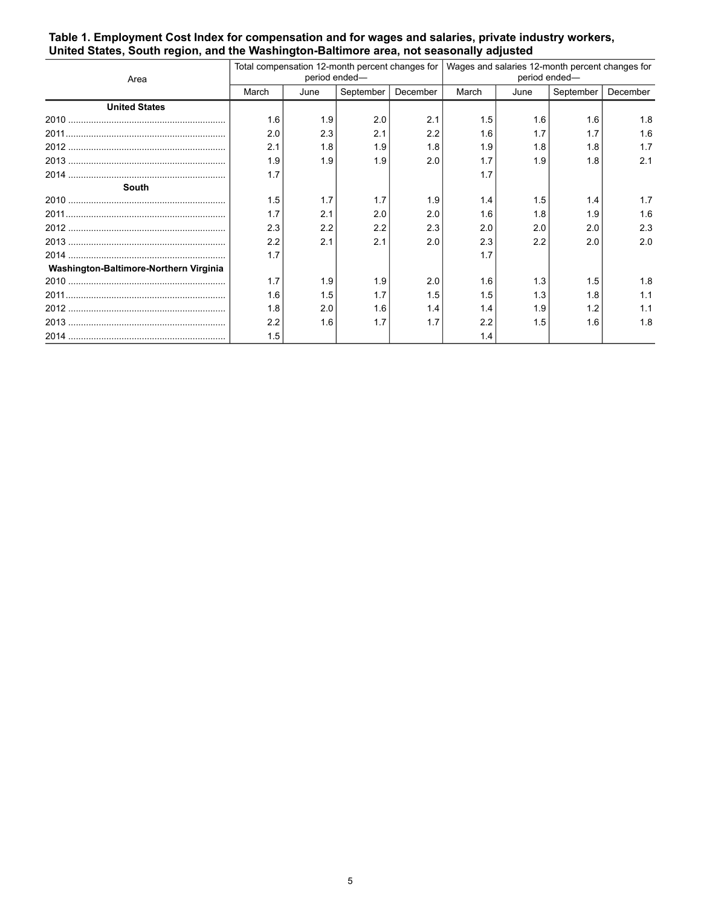#### <span id="page-4-0"></span>**Table 1. Employment Cost Index for compensation and for wages and salaries, private industry workers, United States, South region, and the Washington-Baltimore area, not seasonally adjusted**

| Area                                   | period ended- |      |           |          | Total compensation 12-month percent changes for   Wages and salaries 12-month percent changes for<br>period ended- |      |           |          |
|----------------------------------------|---------------|------|-----------|----------|--------------------------------------------------------------------------------------------------------------------|------|-----------|----------|
|                                        | March         | June | September | December | March                                                                                                              | June | September | December |
| <b>United States</b>                   |               |      |           |          |                                                                                                                    |      |           |          |
|                                        | 1.6           | 1.9  | 2.0       | 2.1      | 1.5                                                                                                                | 1.6  | 1.6       | 1.8      |
|                                        | 2.0           | 2.3  | 2.1       | 2.2      | 1.6                                                                                                                | 1.7  | 1.7       | 1.6      |
|                                        | 2.1           | 1.8  | 1.9       | 1.8      | 1.9                                                                                                                | 1.8  | 1.8       | 1.7      |
|                                        | 1.9           | 1.9  | 1.9       | 2.0      | 1.7                                                                                                                | 1.9  | 1.8       | 2.1      |
|                                        | 1.7           |      |           |          | 1.7                                                                                                                |      |           |          |
| South                                  |               |      |           |          |                                                                                                                    |      |           |          |
|                                        | 1.5           | 1.7  | 1.7       | 1.9      | 1.4                                                                                                                | 1.5  | 1.4       | 1.7      |
|                                        | 1.7           | 2.1  | 2.0       | 2.0      | 1.6                                                                                                                | 1.8  | 1.9       | 1.6      |
|                                        | 2.3           | 2.2  | 2.2       | 2.3      | 2.0                                                                                                                | 2.0  | 2.0       | 2.3      |
|                                        | 2.2           | 2.1  | 2.1       | 2.0      | 2.3                                                                                                                | 2.2  | 2.0       | 2.0      |
|                                        | 1.7           |      |           |          | 1.7                                                                                                                |      |           |          |
| Washington-Baltimore-Northern Virginia |               |      |           |          |                                                                                                                    |      |           |          |
|                                        | 1.7           | 1.9  | 1.9       | 2.0      | 1.6                                                                                                                | 1.3  | 1.5       | 1.8      |
|                                        | 1.6           | 1.5  | 1.7       | 1.5      | 1.5                                                                                                                | 1.3  | 1.8       | 1.1      |
|                                        | 1.8           | 2.0  | 1.6       | 1.4      | 1.4                                                                                                                | 1.9  | 1.2       | 1.1      |
|                                        | 2.2           | 1.6  | 1.7       | 1.7      | 2.2                                                                                                                | 1.5  | 1.6       | 1.8      |
|                                        | 1.5           |      |           |          | 1.4                                                                                                                |      |           |          |